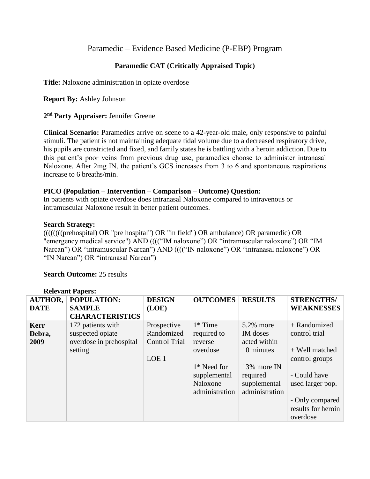# Paramedic – Evidence Based Medicine (P-EBP) Program

## **Paramedic CAT (Critically Appraised Topic)**

**Title:** Naloxone administration in opiate overdose

**Report By:** Ashley Johnson

**2 nd Party Appraiser:** Jennifer Greene

**Clinical Scenario:** Paramedics arrive on scene to a 42-year-old male, only responsive to painful stimuli. The patient is not maintaining adequate tidal volume due to a decreased respiratory drive, his pupils are constricted and fixed, and family states he is battling with a heroin addiction. Due to this patient's poor veins from previous drug use, paramedics choose to administer intranasal Naloxone. After 2mg IN, the patient's GCS increases from 3 to 6 and spontaneous respirations increase to 6 breaths/min.

## **PICO (Population – Intervention – Comparison – Outcome) Question:**

In patients with opiate overdose does intranasal Naloxone compared to intravenous or intramuscular Naloxone result in better patient outcomes.

### **Search Strategy:**

((((((((prehospital) OR "pre hospital") OR "in field") OR ambulance) OR paramedic) OR "emergency medical service") AND (((("IM naloxone") OR "intramuscular naloxone") OR "IM Narcan") OR "intramuscular Narcan") AND (((("IN naloxone") OR "intranasal naloxone") OR "IN Narcan") OR "intranasal Narcan")

## **Search Outcome:** 25 results

| <b>AUTHOR,</b> | <b>POPULATION:</b>      | <b>DESIGN</b>        | <b>OUTCOMES</b> | <b>RESULTS</b> | <b>STRENGTHS/</b>  |
|----------------|-------------------------|----------------------|-----------------|----------------|--------------------|
| <b>DATE</b>    | <b>SAMPLE</b>           | (LOE)                |                 |                | <b>WEAKNESSES</b>  |
|                | <b>CHARACTERISTICS</b>  |                      |                 |                |                    |
| <b>Kerr</b>    | 172 patients with       | Prospective          | $1*$ Time       | 5.2% more      | + Randomized       |
| Debra,         | suspected opiate        | Randomized           | required to     | IM doses       | control trial      |
| 2009           | overdose in prehospital | <b>Control Trial</b> | reverse         | acted within   |                    |
|                | setting                 |                      | overdose        | 10 minutes     | + Well matched     |
|                |                         | LOE <sub>1</sub>     |                 |                | control groups     |
|                |                         |                      | 1* Need for     | 13% more IN    |                    |
|                |                         |                      | supplemental    | required       | - Could have       |
|                |                         |                      | Naloxone        | supplemental   | used larger pop.   |
|                |                         |                      | administration  | administration |                    |
|                |                         |                      |                 |                | - Only compared    |
|                |                         |                      |                 |                | results for heroin |
|                |                         |                      |                 |                | overdose           |

#### **Relevant Papers:**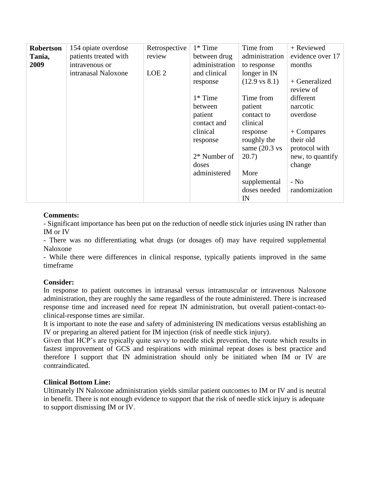| Robertson<br>Tania, | 154 opiate overdose<br>patients treated with | Retrospective<br>review | $1*$ Time<br>between drug | Time from<br>administration | + Reviewed<br>evidence over 17 |
|---------------------|----------------------------------------------|-------------------------|---------------------------|-----------------------------|--------------------------------|
| 2009                | intravenous or                               |                         | administration            | to response                 | months                         |
|                     | intranasal Naloxone                          | LOE <sub>2</sub>        | and clinical              | longer in IN                |                                |
|                     |                                              |                         | response                  | $(12.9 \text{ vs } 8.1)$    | $+$ Generalized<br>review of   |
|                     |                                              |                         | $1*$ Time                 | Time from                   | different                      |
|                     |                                              |                         | between                   | patient                     | narcotic                       |
|                     |                                              |                         | patient                   | contact to                  | overdose                       |
|                     |                                              |                         | contact and               | clinical                    |                                |
|                     |                                              |                         | clinical                  | response                    | $+$ Compares                   |
|                     |                                              |                         | response                  | roughly the                 | their old                      |
|                     |                                              |                         |                           | same $(20.3 \text{ vs }$    | protocol with                  |
|                     |                                              |                         | 2* Number of              | 20.7)                       | new, to quantify               |
|                     |                                              |                         | doses                     |                             | change                         |
|                     |                                              |                         | administered              | More                        |                                |
|                     |                                              |                         |                           | supplemental                | $-$ No                         |
|                     |                                              |                         |                           | doses needed                | randomization                  |
|                     |                                              |                         |                           | IN                          |                                |

## **Comments:**

- Significant importance has been put on the reduction of needle stick injuries using IN rather than IM or IV

- There was no differentiating what drugs (or dosages of) may have required supplemental Naloxone

- While there were differences in clinical response, typically patients improved in the same timeframe

## **Consider:**

In response to patient outcomes in intranasal versus intramuscular or intravenous Naloxone administration, they are roughly the same regardless of the route administered. There is increased response time and increased need for repeat IN administration, but overall patient-contact-toclinical-response times are similar.

It is important to note the ease and safety of administering IN medications versus establishing an IV or preparing an altered patient for IM injection (risk of needle stick injury).

Given that HCP's are typically quite savvy to needle stick prevention, the route which results in fastest improvement of GCS and respirations with minimal repeat doses is best practice and therefore I support that IN administration should only be initiated when IM or IV are contraindicated.

### **Clinical Bottom Line:**

Ultimately IN Naloxone administration yields similar patient outcomes to IM or IV and is neutral in benefit. There is not enough evidence to support that the risk of needle stick injury is adequate to support dismissing IM or IV.